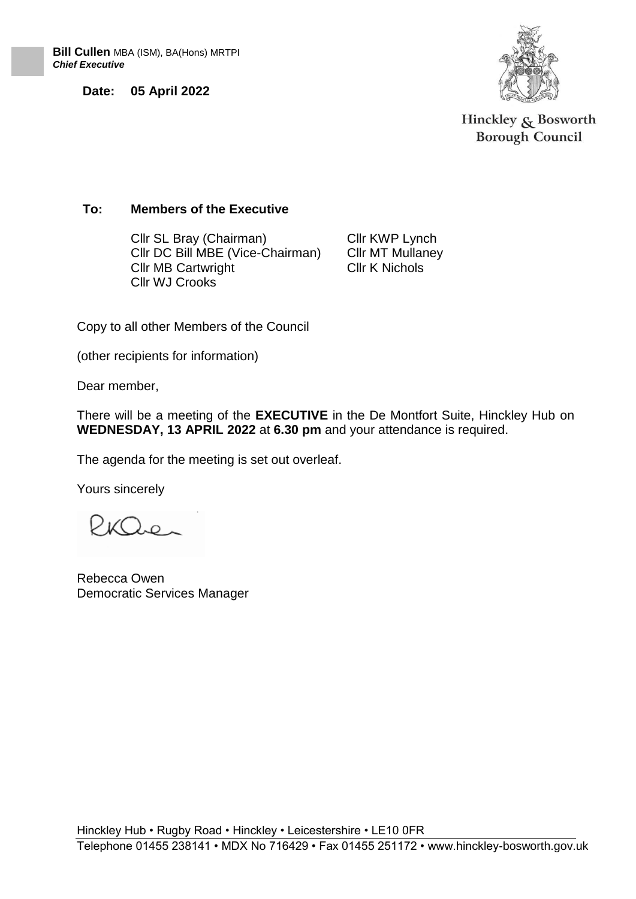**Date: 05 April 2022**



Hinckley  $\&$  Bosworth **Borough Council** 

### **To: Members of the Executive**

Cllr SL Bray (Chairman) Cllr DC Bill MBE (Vice-Chairman) Cllr MB Cartwright Cllr WJ Crooks

Cllr KWP Lynch Cllr MT Mullaney Cllr K Nichols

Copy to all other Members of the Council

(other recipients for information)

Dear member,

There will be a meeting of the **EXECUTIVE** in the De Montfort Suite, Hinckley Hub on **WEDNESDAY, 13 APRIL 2022** at **6.30 pm** and your attendance is required.

The agenda for the meeting is set out overleaf.

Yours sincerely

 $PKQ_{2P_{\infty}}$ 

Rebecca Owen Democratic Services Manager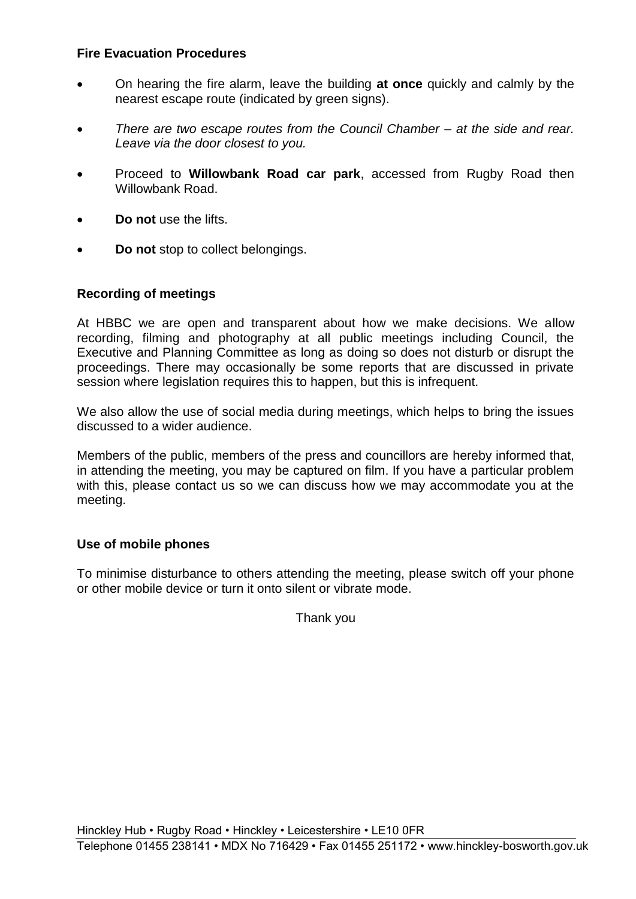## **Fire Evacuation Procedures**

- On hearing the fire alarm, leave the building **at once** quickly and calmly by the nearest escape route (indicated by green signs).
- *There are two escape routes from the Council Chamber – at the side and rear. Leave via the door closest to you.*
- Proceed to **Willowbank Road car park**, accessed from Rugby Road then Willowbank Road
- **Do not** use the lifts.
- **Do not** stop to collect belongings.

## **Recording of meetings**

At HBBC we are open and transparent about how we make decisions. We allow recording, filming and photography at all public meetings including Council, the Executive and Planning Committee as long as doing so does not disturb or disrupt the proceedings. There may occasionally be some reports that are discussed in private session where legislation requires this to happen, but this is infrequent.

We also allow the use of social media during meetings, which helps to bring the issues discussed to a wider audience.

Members of the public, members of the press and councillors are hereby informed that, in attending the meeting, you may be captured on film. If you have a particular problem with this, please contact us so we can discuss how we may accommodate you at the meeting.

### **Use of mobile phones**

To minimise disturbance to others attending the meeting, please switch off your phone or other mobile device or turn it onto silent or vibrate mode.

Thank you